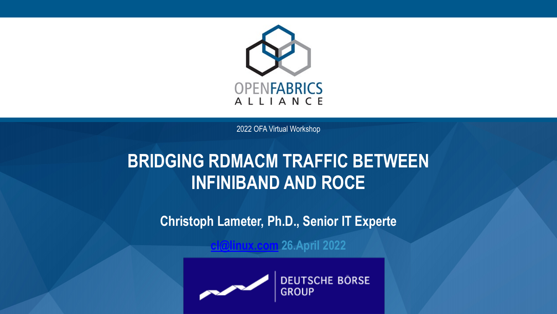

2022 OFA Virtual Workshop

### **BRIDGING RDMACM TRAFFIC BETWEEN INFINIBAND AND ROCE**

**Christoph Lameter, Ph.D., Senior IT Experte**

**[cl@linux.com](mailto:cl@linux.com) 26.April 2022**



**DEUTSCHE BÖRSE**<br>GROUP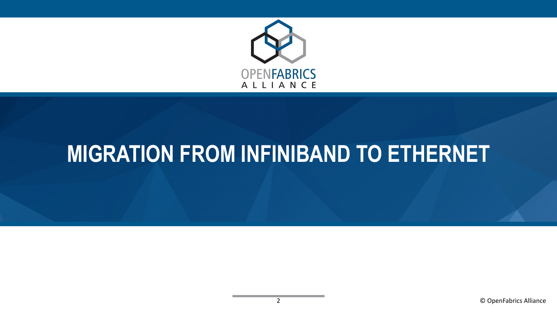

### **MIGRATION FROM INFINIBAND TO ETHERNET**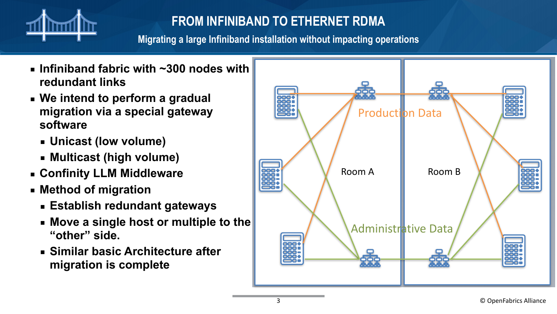

### **FROM INFINIBAND TO ETHERNET RDMA**

**Migrating a large Infiniband installation without impacting operations**

- **Infiniband fabric with ~300 nodes with redundant links**
- **We intend to perform a gradual migration via a special gateway software**
	- **Unicast (low volume)**
	- **Multicast (high volume)**
- **Confinity LLM Middleware**
- **Method of migration**
	- **Establish redundant gateways**
	- **Move a single host or multiple to the "other" side.**
	- **Similar basic Architecture after migration is complete**

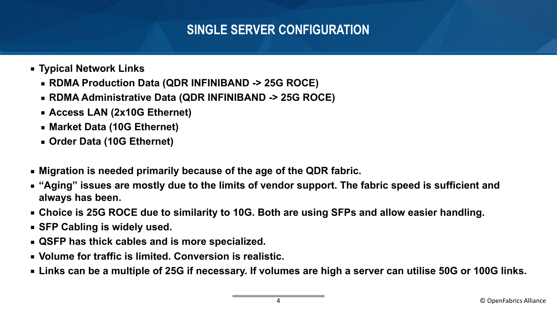### **SINGLE SERVER CONFIGURATION**

- **Typical Network Links**
	- **RDMA Production Data (QDR INFINIBAND -> 25G ROCE)**
	- **RDMA Administrative Data (QDR INFINIBAND -> 25G ROCE)**
	- **Access LAN (2x10G Ethernet)**
	- **Market Data (10G Ethernet)**
	- **Order Data (10G Ethernet)**
- **Migration is needed primarily because of the age of the QDR fabric.**
- **"Aging" issues are mostly due to the limits of vendor support. The fabric speed is sufficient and always has been.**
- **Choice is 25G ROCE due to similarity to 10G. Both are using SFPs and allow easier handling.**
- **SFP Cabling is widely used.**
- **QSFP has thick cables and is more specialized.**
- **Volume for traffic is limited. Conversion is realistic.**
- **Links can be a multiple of 25G if necessary. If volumes are high a server can utilise 50G or 100G links.**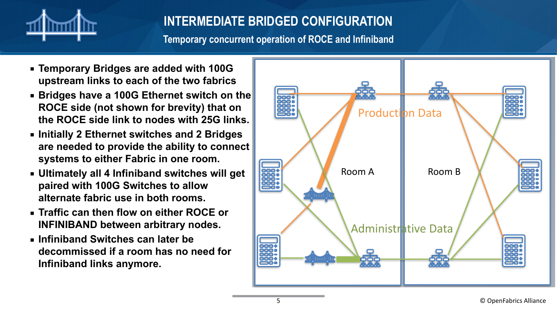

### **INTERMEDIATE BRIDGED CONFIGURATION**

**Temporary concurrent operation of ROCE and Infiniband**

- **Temporary Bridges are added with 100G upstream links to each of the two fabrics**
- Bridges have a 100G Ethernet switch on the **ROCE side (not shown for brevity) that on the ROCE side link to nodes with 25G links.**
- **Initially 2 Ethernet switches and 2 Bridges are needed to provide the ability to connect systems to either Fabric in one room.**
- **Ultimately all 4 Infiniband switches will get paired with 100G Switches to allow alternate fabric use in both rooms.**
- **Traffic can then flow on either ROCE or INFINIBAND between arbitrary nodes.**
- **Infiniband Switches can later be decommissed if a room has no need for Infiniband links anymore.**

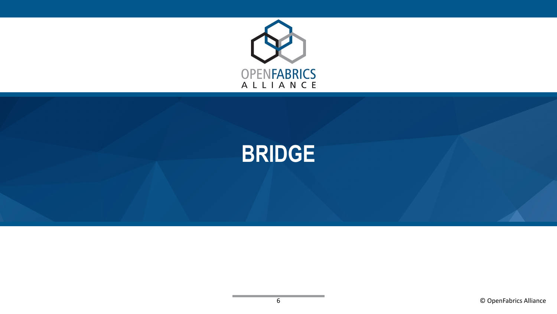

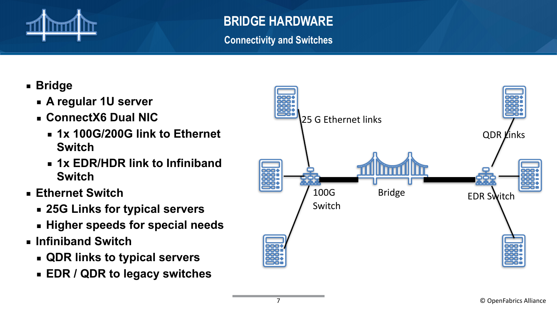

### **BRIDGE HARDWARE**

**Connectivity and Switches**

- **Bridge**
	- **A regular 1U server**
	- **ConnectX6 Dual NIC**
		- **1x 100G/200G link to Ethernet Switch**
		- **1x EDR/HDR link to Infiniband Switch**
- **Ethernet Switch**
	- **25G Links for typical servers**
	- **Higher speeds for special needs**
- **Infiniband Switch**
	- **QDR links to typical servers**
	- **EDR / QDR to legacy switches**

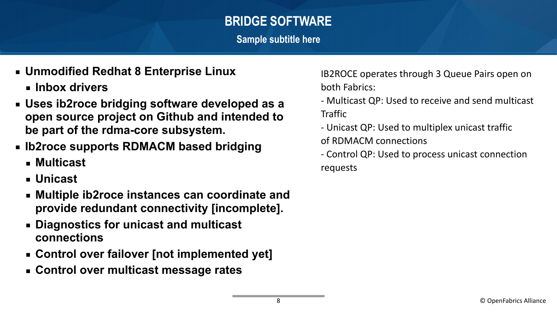### **BRIDGE SOFTWARE**

**Sample subtitle here**

- **Unmodified Redhat 8 Enterprise Linux**
	- **Inbox drivers**
- **Uses ib2roce bridging software developed as a open source project on Github and intended to be part of the rdma-core subsystem.**
- **EXA)** Ib2roce supports RDMACM based bridging
	- **Multicast**
	- **Unicast**
	- **Multiple ib2roce instances can coordinate and provide redundant connectivity [incomplete].**
	- **Diagnostics for unicast and multicast connections**
	- **Control over failover [not implemented yet]**
	- **Control over multicast message rates**

IB2ROCE operates through 3 Queue Pairs open on both Fabrics:

- Multicast QP: Used to receive and send multicast **Traffic**
- Unicast QP: Used to multiplex unicast traffic of RDMACM connections
- Control QP: Used to process unicast connection requests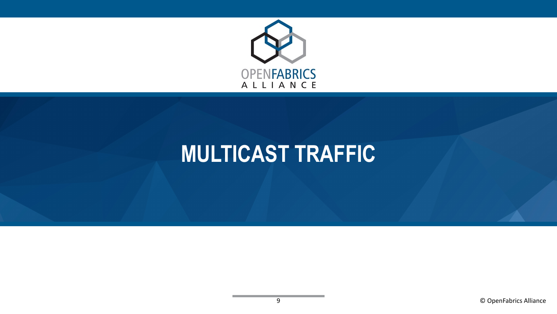

# **MULTICAST TRAFFIC**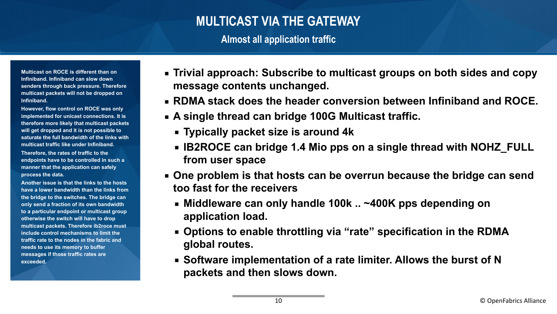#### **MULTICAST VIA THE GATEWAY**

**Almost all application traffic**

**Multicast on ROCE is different than on Infiniband. Infiniband can slow down senders through back pressure. Therefore multicast packets will not be dropped on Infiniband.**

**However, flow control on ROCE was only implemented for unicast connections. It is therefore more likely that multicast packets will get dropped and it is not possible to saturate the full bandwidth of the links with multicast traffic like under Infiniband.**

**Therefore, the rates of traffic to the endpoints have to be controlled in such a manner that the application can safely process the data.**

**Another issue is that the links to the hosts have a lower bandwidth than the links from the bridge to the switches. The bridge can only send a fraction of its own bandwidth to a particular endpoint or multicast group otherwise the switch will have to drop multicast packets. Therefore ib2roce must include control mechanisms to limit the traffic rate to the nodes in the fabric and needs to use its memory to buffer messages if those traffic rates are exceeded.**

- **Trivial approach: Subscribe to multicast groups on both sides and copy message contents unchanged.**
- **RDMA stack does the header conversion between Infiniband and ROCE.**
- **A single thread can bridge 100G Multicast traffic.**
	- **Typically packet size is around 4k**
	- **IB2ROCE can bridge 1.4 Mio pps on a single thread with NOHZ\_FULL from user space**
- **One problem is that hosts can be overrun because the bridge can send too fast for the receivers**
	- **Middleware can only handle 100k .. ~400K pps depending on application load.**
	- Options to enable throttling via "rate" specification in the RDMA **global routes.**
	- Software implementation of a rate limiter. Allows the burst of N **packets and then slows down.**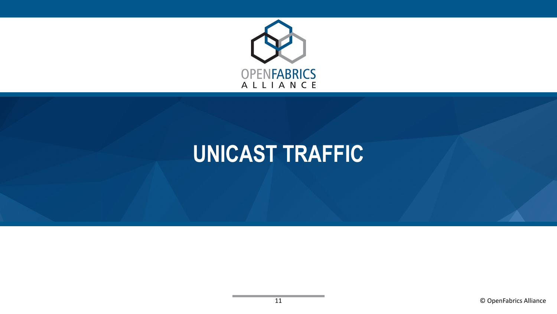

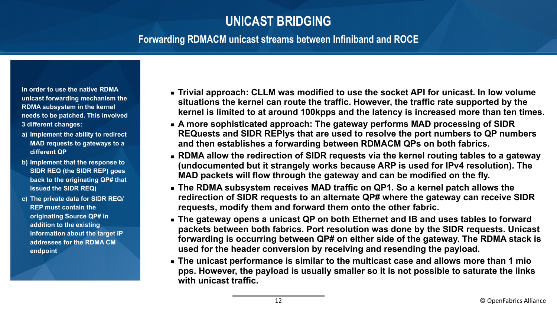#### **UNICAST BRIDGING**

#### **Forwarding RDMACM unicast streams between Infiniband and ROCE**

**In order to use the native RDMA unicast forwarding mechanism the RDMA subsystem in the kernel needs to be patched. This involved 3 different changes:**

- **a) Implement the ability to redirect MAD requests to gateways to a different QP**
- **b) Implement that the response to SIDR REQ (the SIDR REP) goes back to the originating QP# that issued the SIDR REQ)**
- **c) The private data for SIDR REQ/ REP must contain the originating Source QP# in addition to the existing information about the target IP addresses for the RDMA CM endpoint**
- **Example 2 Trivial approach: CLLM was modified to use the socket API for unicast. In low volume situations the kernel can route the traffic. However, the traffic rate supported by the kernel is limited to at around 100kpps and the latency is increased more than ten times.**
- **Example 3 A more sophisticated approach: The gateway performs MAD processing of SIDR REQuests and SIDR REPlys that are used to resolve the port numbers to QP numbers and then establishes a forwarding between RDMACM QPs on both fabrics.**
- **EXTERNA allow the redirection of SIDR requests via the kernel routing tables to a gateway (undocumented but it strangely works because ARP is used for IPv4 resolution). The MAD packets will flow through the gateway and can be modified on the fly.**
- **Example 2 The RDMA subsystem receives MAD traffic on QP1. So a kernel patch allows the redirection of SIDR requests to an alternate QP# where the gateway can receive SIDR requests, modify them and forward them onto the other fabric.**
- **Example 2 The gateway opens a unicast QP on both Ethernet and IB and uses tables to forward packets between both fabrics. Port resolution was done by the SIDR requests. Unicast forwarding is occurring between QP# on either side of the gateway. The RDMA stack is used for the header conversion by receiving and resending the payload.**
- **The unicast performance is similar to the multicast case and allows more than 1 mio pps. However, the payload is usually smaller so it is not possible to saturate the links with unicast traffic.**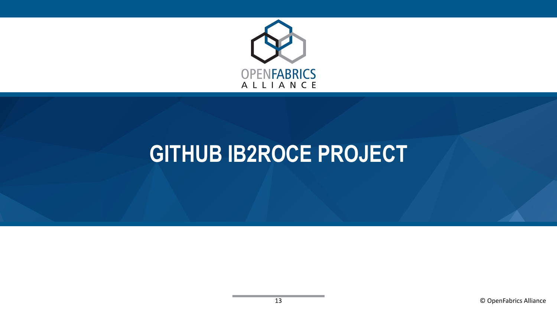

### **GITHUB IB2ROCE PROJECT**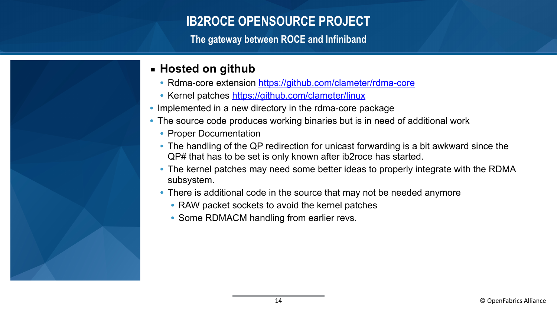#### **IB2ROCE OPENSOURCE PROJECT**

**The gateway between ROCE and Infiniband**



- Rdma-core extension <https://github.com/clameter/rdma-core>
- Kernel patches<https://github.com/clameter/linux>
- Implemented in a new directory in the rdma-core package
- The source code produces working binaries but is in need of additional work
	- Proper Documentation
	- The handling of the QP redirection for unicast forwarding is a bit awkward since the QP# that has to be set is only known after ib2roce has started.
	- The kernel patches may need some better ideas to properly integrate with the RDMA subsystem.
	- There is additional code in the source that may not be needed anymore
		- RAW packet sockets to avoid the kernel patches
		- Some RDMACM handling from earlier revs.